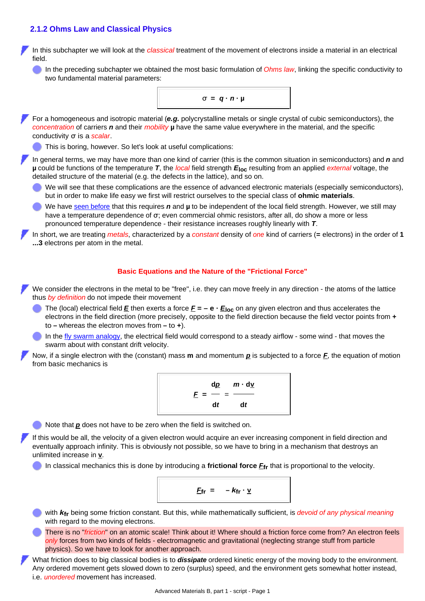### **2.1.2 Ohms Law and Classical Physics**

In this subchapter we will look at the *classical* treatment of the movement of electrons inside a material in an electrical field.

In the preceding subchapter we obtained the most basic formulation of *Ohms law*, linking the specific conductivity to two fundamental material parameters:



In short, we are treating *metals*, characterized by a *constant* density of *one* kind of carriers (**=** electrons) in the order of **1 ...3** electrons per atom in the metal.

#### **Basic Equations and the Nature of the "Frictional Force"**

We consider the electrons in the metal to be "free", i.e. they can move freely in any direction - the atoms of the lattice thus *by definition* do not impede their movement

- The (local) electrical field  $\underline{E}$  then exerts a force  $\underline{F} = -e \cdot \underline{E}_{loc}$  on any given electron and thus accelerates the electrons in the field direction (more precisely, opposite to the field direction because the field vector points from **+** to **–** whereas the electron moves from **–** to **+**).
- In the [fly swarm analogy](http://www.tf.uni-kiel.de/matwis/amat/admat_en/kap_2/basics/b2_1_1.html), the electrical field would correspond to a steady airflow some wind that moves the swarm about with constant drift velocity.

<span id="page-0-0"></span>Now, if a single electron with the (constant) mass **m** and momentum *p* is subjected to a force *F*, the equation of motion from basic mechanics is

$$
\frac{d\underline{p}}{E} = \frac{m \cdot d\underline{v}}{dt}
$$

Note that *p* does not have to be zero when the field is switched on.

If this would be all, the velocity of a given electron would acquire an ever increasing component in field direction and eventually approach infinity. This is obviously not possible, so we have to bring in a mechanism that destroys an unlimited increase in **v**.

In classical mechanics this is done by introducing a **frictional force** *F***fr** that is proportional to the velocity.

$$
\underline{F}_{fr} = -k_{fr} \cdot \underline{v}
$$

with *k***fr** being some friction constant. But this, while mathematically sufficient, is *devoid of any physical meaning* with regard to the moving electrons.

There is no "*friction*" on an atomic scale! Think about it! Where should a friction force come from? An electron feels *only* forces from two kinds of fields - electromagnetic and gravitational (neglecting strange stuff from particle physics). So we have to look for another approach.

What friction does to big classical bodies is to *dissipate* ordered kinetic energy of the moving body to the environment. Any ordered movement gets slowed down to zero (surplus) speed, and the environment gets somewhat hotter instead, i.e. *unordered* movement has increased.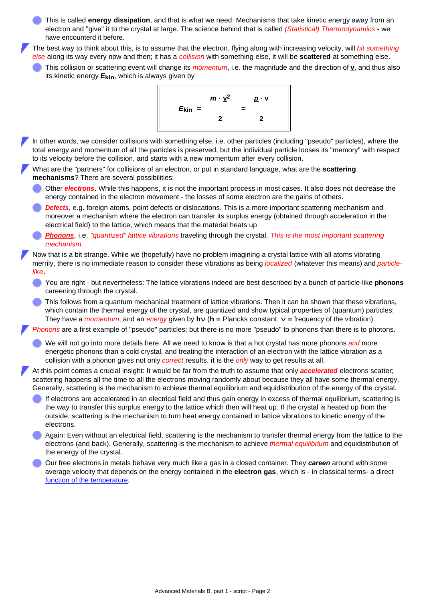This is called **energy dissipation**, and that is what we need: Mechanisms that take kinetic energy away from an electron and "give" it to the crystal at large. The science behind that is called *(Statistical) Thermodynamics* - we have encounterd it before.

The best way to think about this, is to assume that the electron, flying along with increasing velocity, will *hit something else* along its way every now and then; it has a *collision* with something else, it will be **scattered** at something else.

This collision or scattering event will change its *momentum*, i.e. the magnitude and the direction of **v**, and thus also its kinetic energy *E***kin**, which is always given by



In other words, we consider collisions with something else, i.e. other particles (including "pseudo" particles), where the total energy and momentum of all the particles is preserved, but the individual particle looses its "memory" with respect to its velocity before the collision, and starts with a new momentum after every collision.

<span id="page-1-0"></span>What are the "partners" for collisions of an electron, or put in standard language, what are the **scattering mechanisms**? There are several possibilities:

Other *electrons*. While this happens, it is not the important process in most cases. It also does not decrease the energy contained in the electron movement - the losses of some electron are the gains of others.

*[Defects](http://www.tf.uni-kiel.de/matwis/amat/mw1_ge/kap_4/backbone/r4_1_1.html)*, e.g. foreign atoms, point defects or dislocations. This is a more important scattering mechanism and moreover a mechanism where the electron can transfer its surplus energy (obtained through acceleration in the electrical field) to the lattice, which means that the material heats up

*[Phonons](http://www.tf.uni-kiel.de/matwis/amat/mw2_ge/kap_2/advanced/t2_1_1.html)*, i.e. *"quantized" lattice vibrations* traveling through the crystal. *This is the most important scattering mechanism*.

Now that is a bit strange. While we (hopefully) have no problem imagining a crystal lattice with all atoms vibrating merrily, there is no immediate reason to consider these vibrations as being *localized* (whatever this means) and *particlelike*.

You are right - but nevertheless: The lattice vibrations indeed are best described by a bunch of particle-like **phonons** careening through the crystal.

This follows from a quantum mechanical treatment of lattice vibrations. Then it can be shown that these vibrations, which contain the thermal energy of the crystal, are quantized and show typical properties of (quantum) particles: They have a *momentum*, and an *energy* given by **hν** (**h =** Plancks constant, **ν =** frequency of the vibration).

*Phonons* are a first example of "pseudo" particles; but there is no more "pseudo" to phonons than there is to photons.

We will not go into more details here. All we need to know is that a hot crystal has more phonons *and* more energetic phonons than a cold crystal, and treating the interaction of an electron with the lattice vibration as a collision with a phonon gives not only *correct* results, it is the *only* way to get results at all.

At this point comes a crucial insight: It would be far from the truth to assume that only *accelerated* electrons scatter; scattering happens all the time to all the electrons moving randomly about because they all have some thermal energy. Generally, scattering is the mechanism to achieve thermal equilibrium and equidistribution of the energy of the crystal.

If electrons are accelerated in an electrical field and thus gain energy in excess of thermal equilibrium, scattering is the way to transfer this surplus energy to the lattice which then will heat up. If the crystal is heated up from the outside, scattering is the mechanism to turn heat energy contained in lattice vibrations to kinetic energy of the electrons.

Again: Even without an electrical field, scattering is the mechanism to transfer thermal energy from the lattice to the electrons (and back). Generally, scattering is the mechanism to achieve *thermal equilibrium* and equidistribution of the energy of the crystal.

Our free electrons in metals behave very much like a gas in a closed container. They *careen* around with some average velocity that depends on the energy contained in the **electron gas**, which is - in classical terms- a direct [function of the temperature.](http://www.tf.uni-kiel.de/matwis/amat/mw1_ge/kap_5/basics/t5_1_1.html)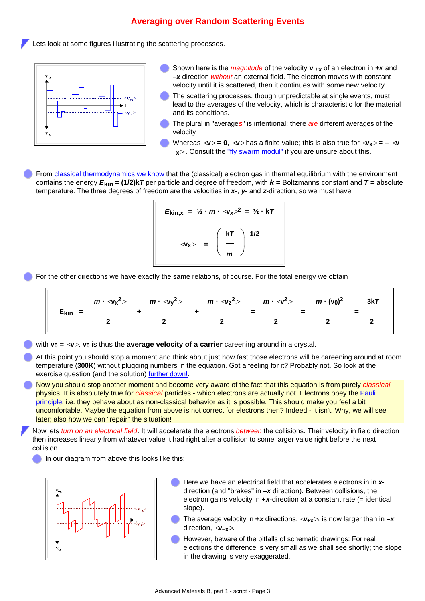## **Averaging over Random Scattering Events**

Lets look at some figures illustrating the scattering processes.



- Shown here is the *magnitude* of the velocity **v ±x** of an electron in *+x* and **–***x* direction *without* an external field. The electron moves with constant velocity until it is scattered, then it continues with some new velocity.
- The scattering processes, though unpredictable at single events, must lead to the averages of the velocity, which is characteristic for the material and its conditions.
- The plural in "average*s*" is intentional: there *are* different averages of the velocity
- Whereas  $\leq \mathbf{v} > = \mathbf{0}$ ,  $\leq \mathbf{v} >$  has a finite value; this is also true for  $\leq \mathbf{v} < \mathbf{v} > = -\leq \mathbf{v}$ **–x>** . Consult the ["fly swarm modul"](http://www.tf.uni-kiel.de/matwis/amat/admat_en/kap_2/basics/b2_1_1.html) if you are unsure about this.

From [classical thermodynamics we know](http://www.tf.uni-kiel.de/matwis/amat/mw1_ge/kap_5/backbone/r5_2_1.html) that the (classical) electron gas in thermal equilibrium with the environment contains the energy *E***kin = (1/2)k***T* per particle and degree of freedom, with *k* **=** Boltzmanns constant and *T* **=** absolute temperature. The three degrees of freedom are the velocities in *x*-, *y*- and *z*-direction, so we must have

$$
E_{\text{kin},x} = \frac{1}{2} \cdot m \cdot \sqrt{x^2} = \frac{1}{2} \cdot kT
$$
  

$$
\sqrt{x^2} = \left(\frac{kT}{m}\right)^{1/2}
$$

<span id="page-2-1"></span>For the other directions we have exactly the same relations, of course. For the total energy we obtain

$$
E_{kin} = \frac{m \cdot \langle v_x^2 \rangle}{2} + \frac{m \cdot \langle v_y^2 \rangle}{2} + \frac{m \cdot \langle v_z^2 \rangle}{2} = \frac{m \cdot \langle v^2 \rangle}{2} = \frac{m \cdot (v_0)^2}{2} = \frac{3kT}{2}
$$

with  $v_0 = \langle v \rangle$ .  $v_0$  is thus the **average velocity of a carrier** careening around in a crystal.

At this point you should stop a moment and think about just how fast those electrons will be careening around at room temperature (**300K**) without plugging numbers in the equation. Got a feeling for it? Probably not. So look at the exercise question (and the solution) [further down!.](#page-6-0)

Now you should stop another moment and become very aware of the fact that this equation is from purely *classical* physics. It is absolutely true for *classical* particles - which electrons are actually not. Electrons obey the [Pauli](http://www.tf.uni-kiel.de/matwis/amat/mw1_ge/kap_2/backbone/r2_1_5.html#pauli prinzip) [principle,](http://www.tf.uni-kiel.de/matwis/amat/mw1_ge/kap_2/backbone/r2_1_5.html#pauli prinzip) i.e. they behave about as non-classical behavior as it is possible. This should make you feel a bit uncomfortable. Maybe the equation from above is not correct for electrons then? Indeed - it isn't. Why, we will see later; also how we can "repair" the situation!

Now lets *turn on an electrical field*. It will accelerate the electrons *between* the collisions. Their velocity in field direction then increases linearly from whatever value it had right after a collision to some larger value right before the next collision.

In our diagram from above this looks like this:

<span id="page-2-0"></span>

- Here we have an electrical field that accelerates electrons in in *x*direction (and "brakes" in **–***x* direction). Between collisions, the electron gains velocity in **+***x*-direction at a constant rate (= identical slope).
- The average velocity in  $+x$  directions,  $\langle v_{+x} \rangle$ , is now larger than in  $-x$ direction, **<v–x>**.
- However, beware of the pitfalls of schematic drawings: For real electrons the difference is very small as we shall see shortly; the slope in the drawing is very exaggerated.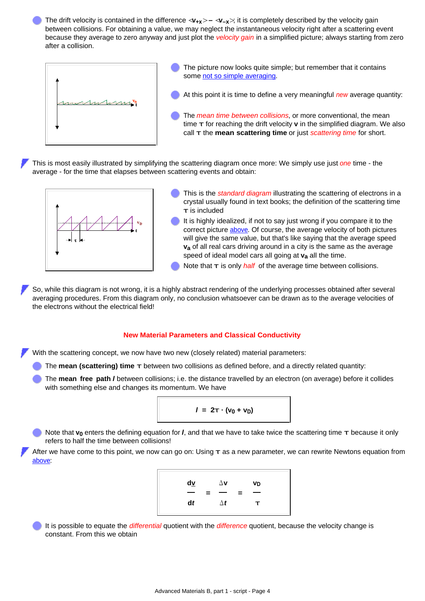The drift velocity is contained in the difference  $\langle \mathbf{v}_{+x} \rangle - \langle \mathbf{v}_{-x} \rangle$ ; it is completely described by the velocity gain between collisions. For obtaining a value, we may neglect the instantaneous velocity right after a scattering event because they average to zero anyway and just plot the *velocity gain* in a simplified picture; always starting from zero after a collision.



- The picture now looks quite simple; but remember that it contains some [not so simple averaging.](http://www.tf.uni-kiel.de/matwis/amat/admat_en/kap_2/basics/b2_1_1.html)
- At this point it is time to define a very meaningful *new* average quantity:
- The *mean time between collisions*, or more conventional, the mean time **τ** for reaching the drift velocity **v** in the simplified diagram. We also call **τ** the **mean scattering time** or just *scattering time* for short.

This is most easily illustrated by simplifying the scattering diagram once more: We simply use just *one* time - the average - for the time that elapses between scattering events and obtain:



- This is the *standard diagram* illustrating the scattering of electrons in a crystal usually found in text books; the definition of the scattering time **τ** is included
- It is highly idealized, if not to say just wrong if you compare it to the correct picture [above.](#page-2-0) Of course, the average velocity of both pictures will give the same value, but that's like saying that the average speed **va** of all real cars driving around in a city is the same as the average speed of ideal model cars all going at **va** all the time.
- Note that **τ** is only *half* of the average time between collisions.

So, while this diagram is not wrong, it is a highly abstract rendering of the underlying processes obtained after several averaging procedures. From this diagram only, no conclusion whatsoever can be drawn as to the average velocities of the electrons without the electrical field!

#### **New Material Parameters and Classical Conductivity**

<span id="page-3-0"></span>With the scattering concept, we now have two new (closely related) material parameters:

- The **mean (scattering) time τ** between two collisions as defined before, and a directly related quantity:
- The **mean free path** *l* between collisions; i.e. the distance travelled by an electron (on average) before it collides with something else and changes its momentum. We have

$$
I = 2\tau \cdot (v_0 + v_D)
$$

Note that **v0** enters the defining equation for *l*, and that we have to take twice the scattering time **τ** because it only refers to half the time between collisions!

After we have come to this point, we now can go on: Using **τ** as a new parameter, we can rewrite Newtons equation from [above](#page-0-0):



It is possible to equate the *differential* quotient with the *difference* quotient, because the velocity change is constant. From this we obtain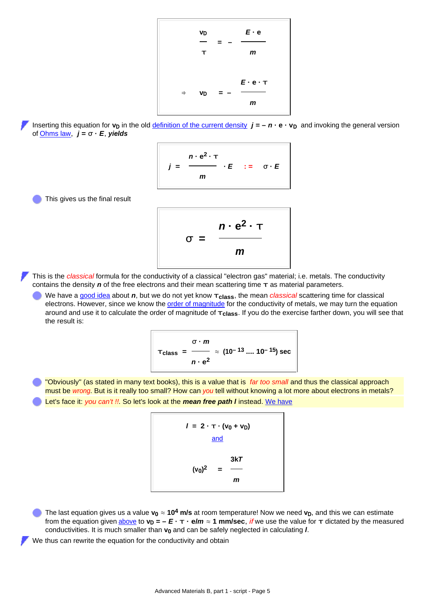$$
\frac{v_D}{T} = -\frac{E \cdot e}{m}
$$
\n
$$
\Rightarrow v_D = -\frac{E \cdot e \cdot T}{m}
$$

<span id="page-4-0"></span>Inserting this equation for  $v_D$  in the old *definition of the current density*  $j = -n \cdot e \cdot v_D$  and invoking the general version of [Ohms law](http://www.tf.uni-kiel.de/matwis/amat/admat_en/kap_2/backbone/r2_1_1.html#_13), *j* **= σ ·** *E*, *yields*

$$
j = \frac{n \cdot e^2 \cdot \tau}{m} \cdot E \quad := \quad \sigma \cdot E
$$

<span id="page-4-1"></span>This gives us the final result



This is the *classical* formula for the conductivity of a classical "electron gas" material; i.e. metals. The conductivity contains the density *n* of the free electrons and their mean scattering time **τ** as material parameters.

We have a [good idea](http://www.tf.uni-kiel.de/matwis/amat/admat_en/kap_2/backbone/r2_1_1.html#_12) about *n*, but we do not yet know **τclass**, the mean *classical* scattering time for classical electrons. However, since we know the **order of magnitude** for the conductivity of metals, we may turn the equation around and use it to calculate the order of magnitude of **τclass**. If you do the exercise farther down, you will see that the result is:

$$
T_{\text{class}} = \frac{\sigma \cdot m}{n \cdot e^2} \approx (10^{-13} \dots 10^{-15}) \text{ sec}
$$

"Obviously" (as stated in many text books), this is a value that is *far too small* and thus the classical approach must be *wrong*. But is it really too small? How can *you* tell without knowing a lot more about electrons in metals? Let's face it: *you can't !!*. So let's look at the *mean free path l* instead. [We have](#page-3-0)

$$
I = 2 \cdot \tau \cdot (v_0 + v_0)
$$
  
and  

$$
(v_0)^2 = \frac{3kT}{m}
$$

The last equation gives us a value  $v_0 \approx 10^4$  m/s at room temperature! Now we need  $v_D$ , and this we can estimate from the equation given [above](#page-4-0) to  $v_D = -E \cdot \tau \cdot e/m \approx 1$  mm/sec, *if* we use the value for  $\tau$  dictated by the measured conductivities. It is much smaller than **v0** and can be safely neglected in calculating *l*.

We thus can rewrite the equation for the conductivity and obtain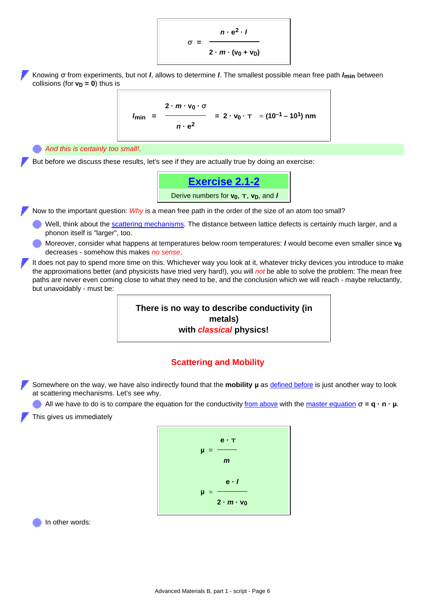

Knowing **σ** from experiments, but not *l*, allows to determine *l*. The smallest possible mean free path *l***min** between collisions (for  $v_D = 0$ ) thus is

$$
I_{\min} = \frac{2 \cdot m \cdot v_0 \cdot \sigma}{n \cdot e^2} = 2 \cdot v_0 \cdot \tau \approx (10^{-1} - 10^1) \text{ nm}
$$

*And this is certainly too small!*.

But before we discuss these results, let's see if they are actually true by doing an exercise:



Now to the important question: *Why* is a mean free path in the order of the size of an atom too small?

- Well, think about the [scattering mechanisms.](#page-1-0) The distance between lattice defects is certainly much larger, and a phonon itself is "larger", too.
- Moreover, consider what happens at temperatures below room temperatures: *l* would become even smaller since **v0** decreases - somehow this makes *no sense*.
- It does not pay to spend more time on this. Whichever way you look at it, whatever tricky devices you introduce to make the approximations better (and physicists have tried very hard!), you will *not* be able to solve the problem: The mean free paths are never even coming close to what they need to be, and the conclusion which we will reach - maybe reluctantly, but unavoidably - must be:



## **Scattering and Mobility**

Somewhere on the way, we have also indirectly found that the **mobility µ** as [defined before](http://www.tf.uni-kiel.de/matwis/amat/admat_en/kap_2/backbone/r2_1_1.html#mobility of carriers) is just another way to look at scattering mechanisms. Let's see why.

All we have to do is to compare the equation for the conductivity [from above](#page-4-1) with the [master equation](http://www.tf.uni-kiel.de/matwis/amat/admat_en/kap_2/backbone/r2_1_2.html#_6) **σ = q · n · µ**.

This gives us immediately